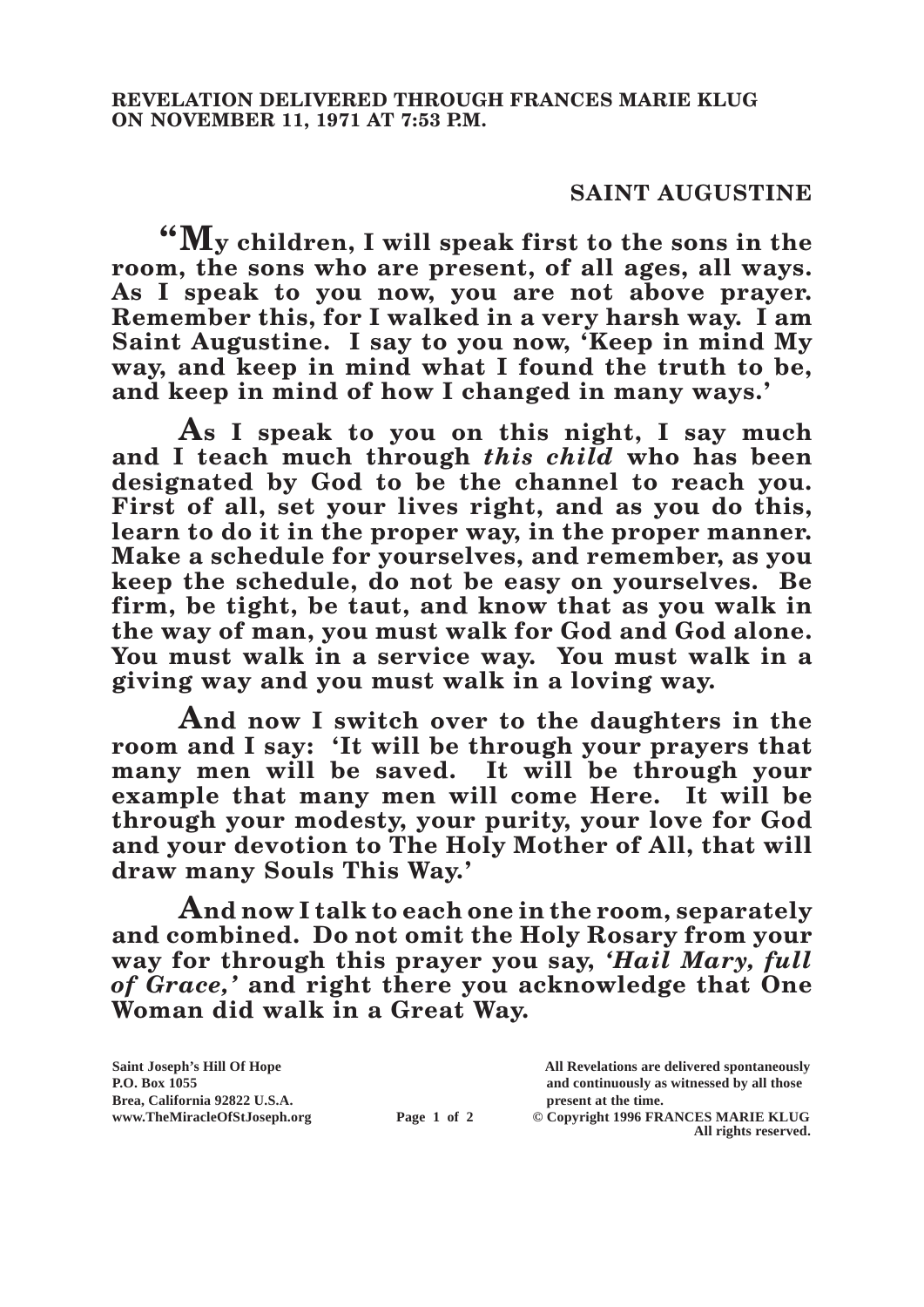## **SAINT AUGUSTINE**

**"My children, I will speak first to the sons in the room, the sons who are present, of all ages, all ways. As I speak to you now, you are not above prayer. Remember this, for I walked in a very harsh way. I am Saint Augustine. I say to you now, 'Keep in mind My way, and keep in mind what I found the truth to be, and keep in mind of how I changed in many ways.'**

**As I speak to you on this night, I say much and I teach much through** *this child* **who has been designated by God to be the channel to reach you. First of all, set your lives right, and as you do this, learn to do it in the proper way, in the proper manner. Make a schedule for yourselves, and remember, as you keep the schedule, do not be easy on yourselves. Be firm, be tight, be taut, and know that as you walk in the way of man, you must walk for God and God alone. You must walk in a service way. You must walk in a giving way and you must walk in a loving way.**

**And now I switch over to the daughters in the room and I say: 'It will be through your prayers that many men will be saved. It will be through your example that many men will come Here. It will be through your modesty, your purity, your love for God and your devotion to The Holy Mother of All, that will draw many Souls This Way.'**

**And now I talk to each one in the room, separately and combined. Do not omit the Holy Rosary from your way for through this prayer you say,** *'Hail Mary, full of Grace,'* **and right there you acknowledge that One Woman did walk in a Great Way.**

| Saint Joseph's Hill Of Hope   |             | All Revelations are delivered spontaneously |
|-------------------------------|-------------|---------------------------------------------|
| P.O. Box 1055                 |             | and continuously as witnessed by all those  |
| Brea, California 92822 U.S.A. |             | present at the time.                        |
| www.TheMiracleOfStJoseph.org  | Page 1 of 2 | © Copyright 1996 FRANCES MARIE KLUG         |
|                               |             | All rights reserved.                        |